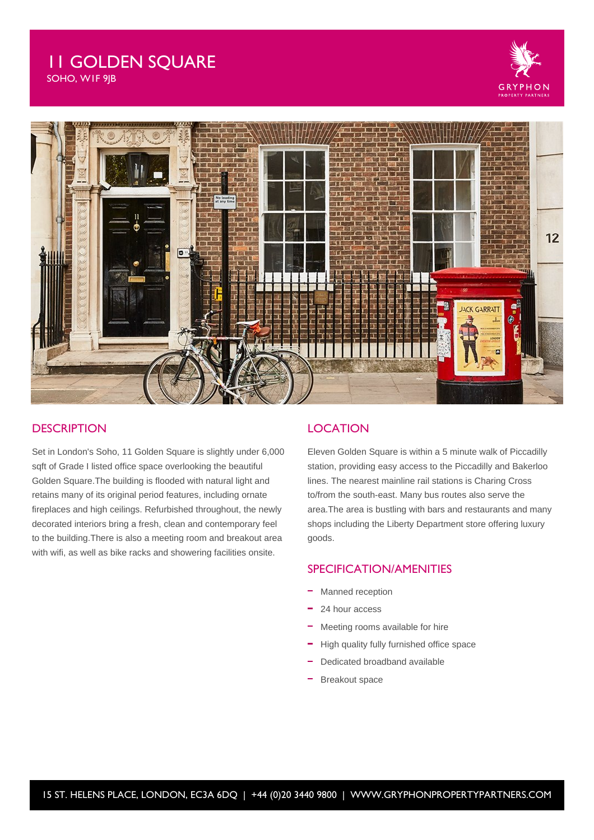# 11 GOLDEN SQUARE

SOHO, W1F 9JB





#### **DESCRIPTION**

Set in London's Soho, 11 Golden Square is slightly under 6,000 sqft of Grade I listed office space overlooking the beautiful Golden Square.The building is flooded with natural light and retains many of its original period features, including ornate fireplaces and high ceilings. Refurbished throughout, the newly decorated interiors bring a fresh, clean and contemporary feel to the building.There is also a meeting room and breakout area with wifi, as well as bike racks and showering facilities onsite.

#### **LOCATION**

Eleven Golden Square is within a 5 minute walk of Piccadilly station, providing easy access to the Piccadilly and Bakerloo lines. The nearest mainline rail stations is Charing Cross to/from the south-east. Many bus routes also serve the area.The area is bustling with bars and restaurants and many shops including the Liberty Department store offering luxury goods.

## SPECIFICATION/AMENITIES

- Manned reception
- 24 hour access
- Meeting rooms available for hire
- High quality fully furnished office space
- Dedicated broadband available
- Breakout space